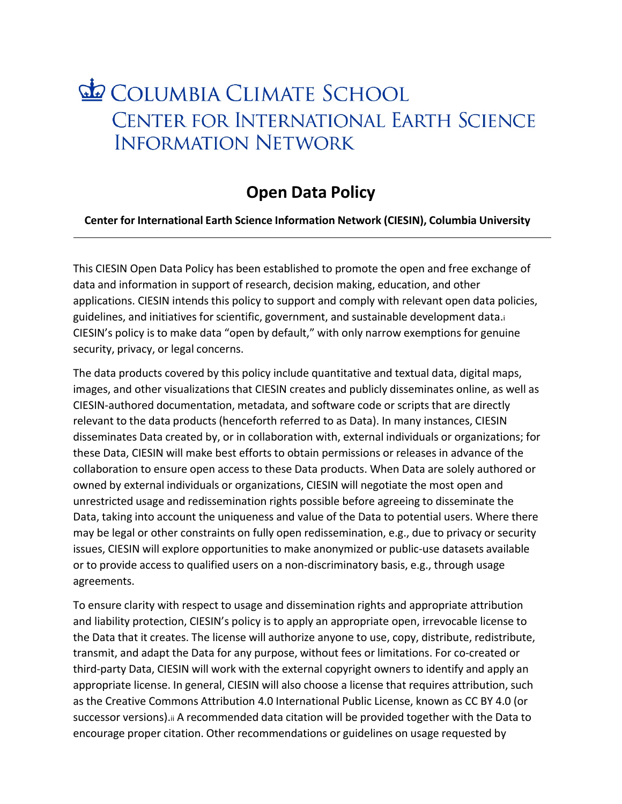## **Le COLUMBIA CLIMATE SCHOOL** CENTER FOR INTERNATIONAL EARTH SCIENCE **INFORMATION NETWORK**

## **Open Data Policy**

## **Center for International Earth Science Information Network (CIESIN), Columbia University**

This CIESIN Open Data Policy has been established to promote the open and free exchange of data and information in support of research, decision making, education, and other applications. CIESIN intends this policy to support and comply with relevant open data policies, guidelines, and initiatives for scientific, government, and sustainable development data[.i](#page-1-0) CIESIN's policy is to make data "open by default," with only narrow exemptions for genuine security, privacy, or legal concerns.

The data products covered by this policy include quantitative and textual data, digital maps, images, and other visualizations that CIESIN creates and publicly disseminates online, as well as CIESIN-authored documentation, metadata, and software code or scripts that are directly relevant to the data products (henceforth referred to as Data). In many instances, CIESIN disseminates Data created by, or in collaboration with, external individuals or organizations; for these Data, CIESIN will make best efforts to obtain permissions or releases in advance of the collaboration to ensure open access to these Data products. When Data are solely authored or owned by external individuals or organizations, CIESIN will negotiate the most open and unrestricted usage and redissemination rights possible before agreeing to disseminate the Data, taking into account the uniqueness and value of the Data to potential users. Where there may be legal or other constraints on fully open redissemination, e.g., due to privacy or security issues, CIESIN will explore opportunities to make anonymized or public-use datasets available or to provide access to qualified users on a non-discriminatory basis, e.g., through usage agreements.

To ensure clarity with respect to usage and dissemination rights and appropriate attribution and liability protection, CIESIN's policy is to apply an appropriate open, irrevocable license to the Data that it creates. The license will authorize anyone to use, copy, distribute, redistribute, transmit, and adapt the Data for any purpose, without fees or limitations. For co-created or third-party Data, CIESIN will work with the external copyright owners to identify and apply an appropriate license. In general, CIESIN will also choose a license that requires attribution, such as the Creative Commons Attribution 4.0 International Public License, known as CC BY 4.0 (or successor versions)[.ii](#page-1-1) A recommended data citation will be provided together with the Data to encourage proper citation. Other recommendations or guidelines on usage requested by